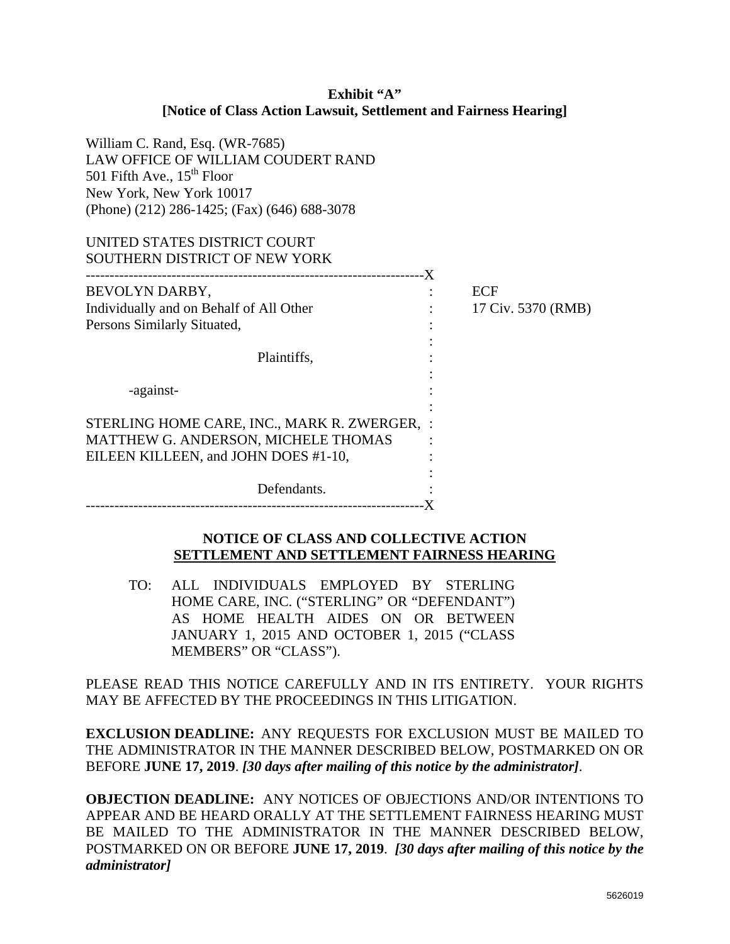### **Exhibit "A" [Notice of Class Action Lawsuit, Settlement and Fairness Hearing]**

| William C. Rand, Esq. (WR-7685)<br>LAW OFFICE OF WILLIAM COUDERT RAND<br>501 Fifth Ave., $15th$ Floor<br>New York, New York 10017<br>(Phone) (212) 286-1425; (Fax) (646) 688-3078 |                    |
|-----------------------------------------------------------------------------------------------------------------------------------------------------------------------------------|--------------------|
| UNITED STATES DISTRICT COURT                                                                                                                                                      |                    |
| SOUTHERN DISTRICT OF NEW YORK                                                                                                                                                     |                    |
|                                                                                                                                                                                   |                    |
| BEVOLYN DARBY,                                                                                                                                                                    | ECF                |
| Individually and on Behalf of All Other                                                                                                                                           | 17 Civ. 5370 (RMB) |
| Persons Similarly Situated,                                                                                                                                                       |                    |
|                                                                                                                                                                                   |                    |
| Plaintiffs,                                                                                                                                                                       |                    |
|                                                                                                                                                                                   |                    |
| -against-                                                                                                                                                                         |                    |
|                                                                                                                                                                                   |                    |
| STERLING HOME CARE, INC., MARK R. ZWERGER, :<br>MATTHEW G. ANDERSON, MICHELE THOMAS                                                                                               |                    |
| EILEEN KILLEEN, and JOHN DOES #1-10,                                                                                                                                              |                    |
| Defendants.                                                                                                                                                                       |                    |

#### **NOTICE OF CLASS AND COLLECTIVE ACTION SETTLEMENT AND SETTLEMENT FAIRNESS HEARING**

TO: ALL INDIVIDUALS EMPLOYED BY STERLING HOME CARE, INC. ("STERLING" OR "DEFENDANT") AS HOME HEALTH AIDES ON OR BETWEEN JANUARY 1, 2015 AND OCTOBER 1, 2015 ("CLASS MEMBERS" OR "CLASS").

PLEASE READ THIS NOTICE CAREFULLY AND IN ITS ENTIRETY. YOUR RIGHTS MAY BE AFFECTED BY THE PROCEEDINGS IN THIS LITIGATION.

**EXCLUSION DEADLINE:** ANY REQUESTS FOR EXCLUSION MUST BE MAILED TO THE ADMINISTRATOR IN THE MANNER DESCRIBED BELOW, POSTMARKED ON OR BEFORE **JUNE 17, 2019**. *[30 days after mailing of this notice by the administrator]*.

**OBJECTION DEADLINE:** ANY NOTICES OF OBJECTIONS AND/OR INTENTIONS TO APPEAR AND BE HEARD ORALLY AT THE SETTLEMENT FAIRNESS HEARING MUST BE MAILED TO THE ADMINISTRATOR IN THE MANNER DESCRIBED BELOW, POSTMARKED ON OR BEFORE **JUNE 17, 2019**. *[30 days after mailing of this notice by the administrator]*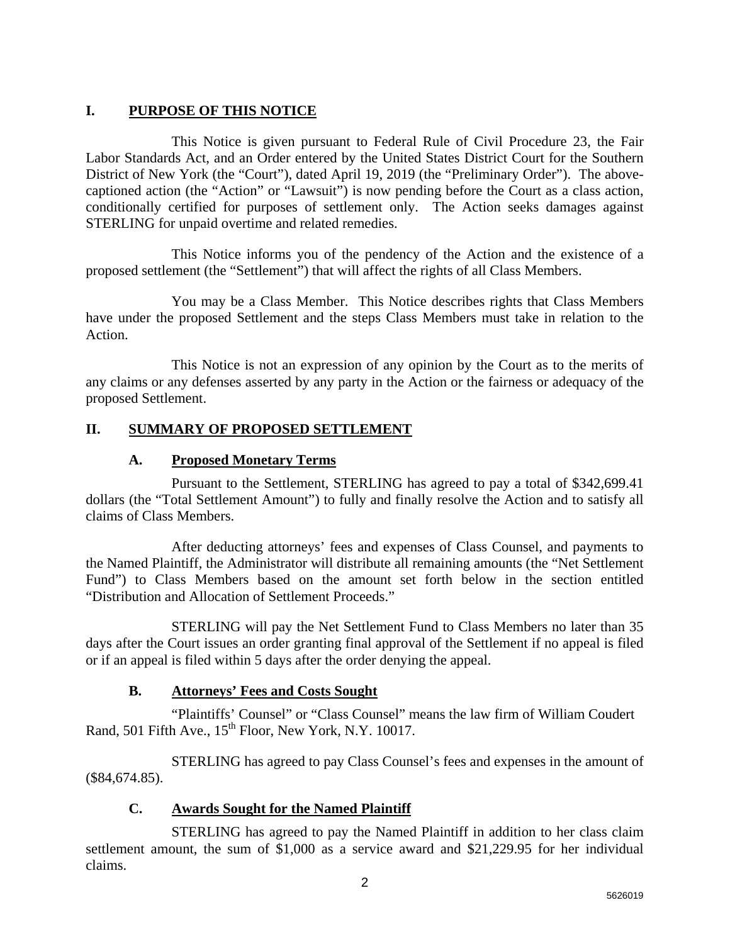# **I. PURPOSE OF THIS NOTICE**

This Notice is given pursuant to Federal Rule of Civil Procedure 23, the Fair Labor Standards Act, and an Order entered by the United States District Court for the Southern District of New York (the "Court"), dated April 19, 2019 (the "Preliminary Order"). The abovecaptioned action (the "Action" or "Lawsuit") is now pending before the Court as a class action, conditionally certified for purposes of settlement only. The Action seeks damages against STERLING for unpaid overtime and related remedies.

This Notice informs you of the pendency of the Action and the existence of a proposed settlement (the "Settlement") that will affect the rights of all Class Members.

You may be a Class Member. This Notice describes rights that Class Members have under the proposed Settlement and the steps Class Members must take in relation to the Action.

This Notice is not an expression of any opinion by the Court as to the merits of any claims or any defenses asserted by any party in the Action or the fairness or adequacy of the proposed Settlement.

# **II. SUMMARY OF PROPOSED SETTLEMENT**

# **A. Proposed Monetary Terms**

Pursuant to the Settlement, STERLING has agreed to pay a total of \$342,699.41 dollars (the "Total Settlement Amount") to fully and finally resolve the Action and to satisfy all claims of Class Members.

After deducting attorneys' fees and expenses of Class Counsel, and payments to the Named Plaintiff, the Administrator will distribute all remaining amounts (the "Net Settlement Fund") to Class Members based on the amount set forth below in the section entitled "Distribution and Allocation of Settlement Proceeds."

STERLING will pay the Net Settlement Fund to Class Members no later than 35 days after the Court issues an order granting final approval of the Settlement if no appeal is filed or if an appeal is filed within 5 days after the order denying the appeal.

# **B. Attorneys' Fees and Costs Sought**

"Plaintiffs' Counsel" or "Class Counsel" means the law firm of William Coudert Rand, 501 Fifth Ave.,  $15<sup>th</sup>$  Floor, New York, N.Y. 10017.

STERLING has agreed to pay Class Counsel's fees and expenses in the amount of (\$84,674.85).

# **C. Awards Sought for the Named Plaintiff**

STERLING has agreed to pay the Named Plaintiff in addition to her class claim settlement amount, the sum of \$1,000 as a service award and \$21,229.95 for her individual claims.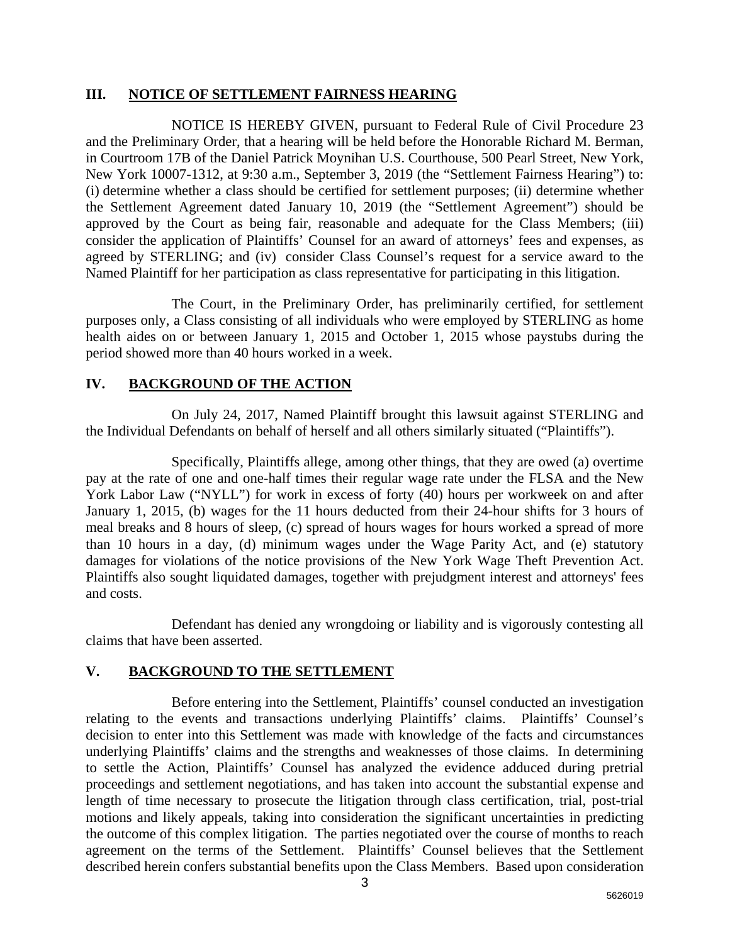#### **III. NOTICE OF SETTLEMENT FAIRNESS HEARING**

NOTICE IS HEREBY GIVEN, pursuant to Federal Rule of Civil Procedure 23 and the Preliminary Order, that a hearing will be held before the Honorable Richard M. Berman, in Courtroom 17B of the Daniel Patrick Moynihan U.S. Courthouse, 500 Pearl Street, New York, New York 10007-1312, at 9:30 a.m., September 3, 2019 (the "Settlement Fairness Hearing") to: (i) determine whether a class should be certified for settlement purposes; (ii) determine whether the Settlement Agreement dated January 10, 2019 (the "Settlement Agreement") should be approved by the Court as being fair, reasonable and adequate for the Class Members; (iii) consider the application of Plaintiffs' Counsel for an award of attorneys' fees and expenses, as agreed by STERLING; and (iv) consider Class Counsel's request for a service award to the Named Plaintiff for her participation as class representative for participating in this litigation.

The Court, in the Preliminary Order, has preliminarily certified, for settlement purposes only, a Class consisting of all individuals who were employed by STERLING as home health aides on or between January 1, 2015 and October 1, 2015 whose paystubs during the period showed more than 40 hours worked in a week.

# **IV. BACKGROUND OF THE ACTION**

On July 24, 2017, Named Plaintiff brought this lawsuit against STERLING and the Individual Defendants on behalf of herself and all others similarly situated ("Plaintiffs").

Specifically, Plaintiffs allege, among other things, that they are owed (a) overtime pay at the rate of one and one-half times their regular wage rate under the FLSA and the New York Labor Law ("NYLL") for work in excess of forty (40) hours per workweek on and after January 1, 2015, (b) wages for the 11 hours deducted from their 24-hour shifts for 3 hours of meal breaks and 8 hours of sleep, (c) spread of hours wages for hours worked a spread of more than 10 hours in a day, (d) minimum wages under the Wage Parity Act, and (e) statutory damages for violations of the notice provisions of the New York Wage Theft Prevention Act. Plaintiffs also sought liquidated damages, together with prejudgment interest and attorneys' fees and costs.

Defendant has denied any wrongdoing or liability and is vigorously contesting all claims that have been asserted.

#### **V. BACKGROUND TO THE SETTLEMENT**

Before entering into the Settlement, Plaintiffs' counsel conducted an investigation relating to the events and transactions underlying Plaintiffs' claims. Plaintiffs' Counsel's decision to enter into this Settlement was made with knowledge of the facts and circumstances underlying Plaintiffs' claims and the strengths and weaknesses of those claims. In determining to settle the Action, Plaintiffs' Counsel has analyzed the evidence adduced during pretrial proceedings and settlement negotiations, and has taken into account the substantial expense and length of time necessary to prosecute the litigation through class certification, trial, post-trial motions and likely appeals, taking into consideration the significant uncertainties in predicting the outcome of this complex litigation. The parties negotiated over the course of months to reach agreement on the terms of the Settlement. Plaintiffs' Counsel believes that the Settlement described herein confers substantial benefits upon the Class Members. Based upon consideration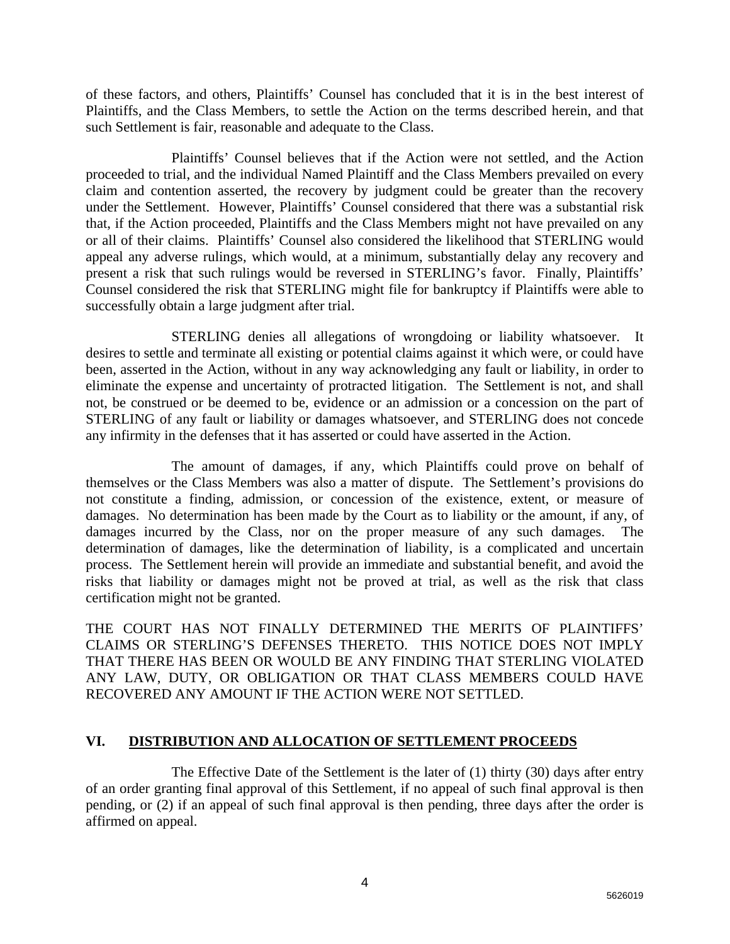of these factors, and others, Plaintiffs' Counsel has concluded that it is in the best interest of Plaintiffs, and the Class Members, to settle the Action on the terms described herein, and that such Settlement is fair, reasonable and adequate to the Class.

Plaintiffs' Counsel believes that if the Action were not settled, and the Action proceeded to trial, and the individual Named Plaintiff and the Class Members prevailed on every claim and contention asserted, the recovery by judgment could be greater than the recovery under the Settlement. However, Plaintiffs' Counsel considered that there was a substantial risk that, if the Action proceeded, Plaintiffs and the Class Members might not have prevailed on any or all of their claims. Plaintiffs' Counsel also considered the likelihood that STERLING would appeal any adverse rulings, which would, at a minimum, substantially delay any recovery and present a risk that such rulings would be reversed in STERLING's favor. Finally, Plaintiffs' Counsel considered the risk that STERLING might file for bankruptcy if Plaintiffs were able to successfully obtain a large judgment after trial.

STERLING denies all allegations of wrongdoing or liability whatsoever. It desires to settle and terminate all existing or potential claims against it which were, or could have been, asserted in the Action, without in any way acknowledging any fault or liability, in order to eliminate the expense and uncertainty of protracted litigation. The Settlement is not, and shall not, be construed or be deemed to be, evidence or an admission or a concession on the part of STERLING of any fault or liability or damages whatsoever, and STERLING does not concede any infirmity in the defenses that it has asserted or could have asserted in the Action.

The amount of damages, if any, which Plaintiffs could prove on behalf of themselves or the Class Members was also a matter of dispute. The Settlement's provisions do not constitute a finding, admission, or concession of the existence, extent, or measure of damages. No determination has been made by the Court as to liability or the amount, if any, of damages incurred by the Class, nor on the proper measure of any such damages. The determination of damages, like the determination of liability, is a complicated and uncertain process. The Settlement herein will provide an immediate and substantial benefit, and avoid the risks that liability or damages might not be proved at trial, as well as the risk that class certification might not be granted.

THE COURT HAS NOT FINALLY DETERMINED THE MERITS OF PLAINTIFFS' CLAIMS OR STERLING'S DEFENSES THERETO. THIS NOTICE DOES NOT IMPLY THAT THERE HAS BEEN OR WOULD BE ANY FINDING THAT STERLING VIOLATED ANY LAW, DUTY, OR OBLIGATION OR THAT CLASS MEMBERS COULD HAVE RECOVERED ANY AMOUNT IF THE ACTION WERE NOT SETTLED.

#### **VI. DISTRIBUTION AND ALLOCATION OF SETTLEMENT PROCEEDS**

The Effective Date of the Settlement is the later of (1) thirty (30) days after entry of an order granting final approval of this Settlement, if no appeal of such final approval is then pending, or (2) if an appeal of such final approval is then pending, three days after the order is affirmed on appeal.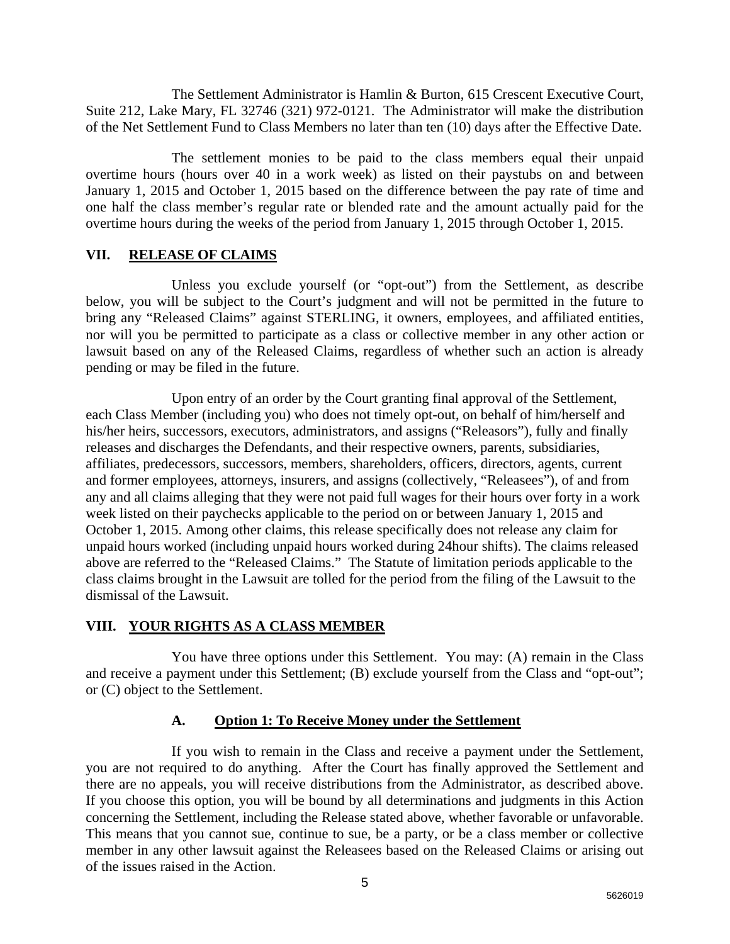The Settlement Administrator is Hamlin & Burton, 615 Crescent Executive Court, Suite 212, Lake Mary, FL 32746 (321) 972-0121. The Administrator will make the distribution of the Net Settlement Fund to Class Members no later than ten (10) days after the Effective Date.

The settlement monies to be paid to the class members equal their unpaid overtime hours (hours over 40 in a work week) as listed on their paystubs on and between January 1, 2015 and October 1, 2015 based on the difference between the pay rate of time and one half the class member's regular rate or blended rate and the amount actually paid for the overtime hours during the weeks of the period from January 1, 2015 through October 1, 2015.

### **VII. RELEASE OF CLAIMS**

Unless you exclude yourself (or "opt-out") from the Settlement, as describe below, you will be subject to the Court's judgment and will not be permitted in the future to bring any "Released Claims" against STERLING, it owners, employees, and affiliated entities, nor will you be permitted to participate as a class or collective member in any other action or lawsuit based on any of the Released Claims, regardless of whether such an action is already pending or may be filed in the future.

Upon entry of an order by the Court granting final approval of the Settlement, each Class Member (including you) who does not timely opt-out, on behalf of him/herself and his/her heirs, successors, executors, administrators, and assigns ("Releasors"), fully and finally releases and discharges the Defendants, and their respective owners, parents, subsidiaries, affiliates, predecessors, successors, members, shareholders, officers, directors, agents, current and former employees, attorneys, insurers, and assigns (collectively, "Releasees"), of and from any and all claims alleging that they were not paid full wages for their hours over forty in a work week listed on their paychecks applicable to the period on or between January 1, 2015 and October 1, 2015. Among other claims, this release specifically does not release any claim for unpaid hours worked (including unpaid hours worked during 24hour shifts). The claims released above are referred to the "Released Claims." The Statute of limitation periods applicable to the class claims brought in the Lawsuit are tolled for the period from the filing of the Lawsuit to the dismissal of the Lawsuit.

# **VIII. YOUR RIGHTS AS A CLASS MEMBER**

You have three options under this Settlement. You may: (A) remain in the Class and receive a payment under this Settlement; (B) exclude yourself from the Class and "opt-out"; or (C) object to the Settlement.

# **A. Option 1: To Receive Money under the Settlement**

If you wish to remain in the Class and receive a payment under the Settlement, you are not required to do anything. After the Court has finally approved the Settlement and there are no appeals, you will receive distributions from the Administrator, as described above. If you choose this option, you will be bound by all determinations and judgments in this Action concerning the Settlement, including the Release stated above, whether favorable or unfavorable. This means that you cannot sue, continue to sue, be a party, or be a class member or collective member in any other lawsuit against the Releasees based on the Released Claims or arising out of the issues raised in the Action.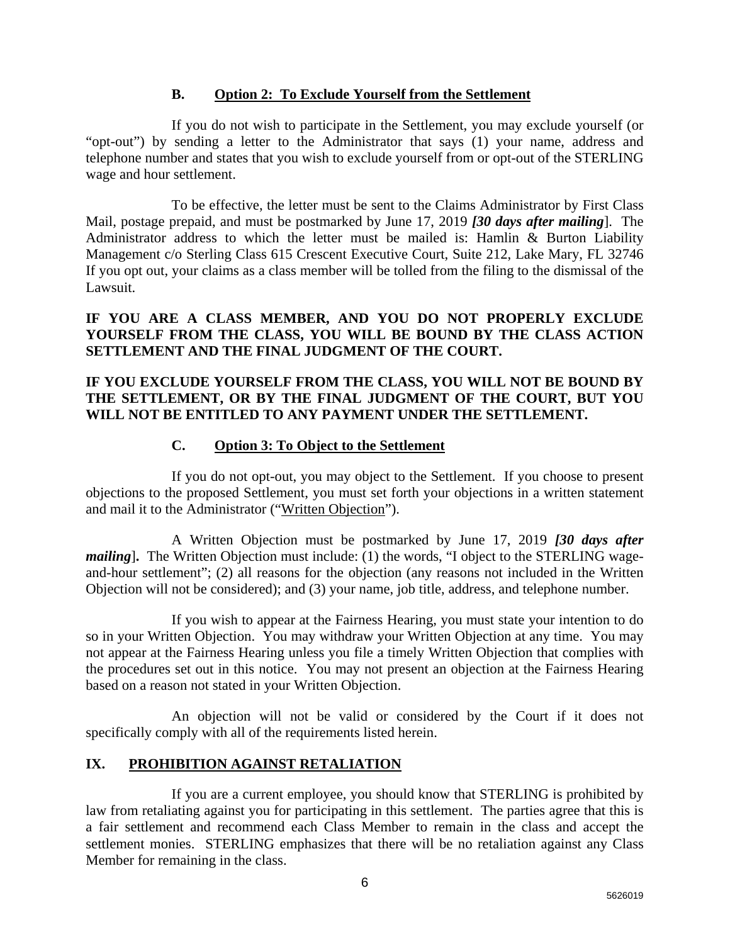### **B. Option 2: To Exclude Yourself from the Settlement**

If you do not wish to participate in the Settlement, you may exclude yourself (or "opt-out") by sending a letter to the Administrator that says (1) your name, address and telephone number and states that you wish to exclude yourself from or opt-out of the STERLING wage and hour settlement.

To be effective, the letter must be sent to the Claims Administrator by First Class Mail, postage prepaid, and must be postmarked by June 17, 2019 *[30 days after mailing*]. The Administrator address to which the letter must be mailed is: Hamlin & Burton Liability Management c/o Sterling Class 615 Crescent Executive Court, Suite 212, Lake Mary, FL 32746 If you opt out, your claims as a class member will be tolled from the filing to the dismissal of the Lawsuit.

**IF YOU ARE A CLASS MEMBER, AND YOU DO NOT PROPERLY EXCLUDE YOURSELF FROM THE CLASS, YOU WILL BE BOUND BY THE CLASS ACTION SETTLEMENT AND THE FINAL JUDGMENT OF THE COURT.** 

### **IF YOU EXCLUDE YOURSELF FROM THE CLASS, YOU WILL NOT BE BOUND BY THE SETTLEMENT, OR BY THE FINAL JUDGMENT OF THE COURT, BUT YOU WILL NOT BE ENTITLED TO ANY PAYMENT UNDER THE SETTLEMENT.**

# **C. Option 3: To Object to the Settlement**

If you do not opt-out, you may object to the Settlement. If you choose to present objections to the proposed Settlement, you must set forth your objections in a written statement and mail it to the Administrator ("Written Objection").

A Written Objection must be postmarked by June 17, 2019 *[30 days after mailing*]. The Written Objection must include: (1) the words, "I object to the STERLING wageand-hour settlement"; (2) all reasons for the objection (any reasons not included in the Written Objection will not be considered); and (3) your name, job title, address, and telephone number.

If you wish to appear at the Fairness Hearing, you must state your intention to do so in your Written Objection. You may withdraw your Written Objection at any time. You may not appear at the Fairness Hearing unless you file a timely Written Objection that complies with the procedures set out in this notice. You may not present an objection at the Fairness Hearing based on a reason not stated in your Written Objection.

An objection will not be valid or considered by the Court if it does not specifically comply with all of the requirements listed herein.

# **IX. PROHIBITION AGAINST RETALIATION**

If you are a current employee, you should know that STERLING is prohibited by law from retaliating against you for participating in this settlement. The parties agree that this is a fair settlement and recommend each Class Member to remain in the class and accept the settlement monies. STERLING emphasizes that there will be no retaliation against any Class Member for remaining in the class.